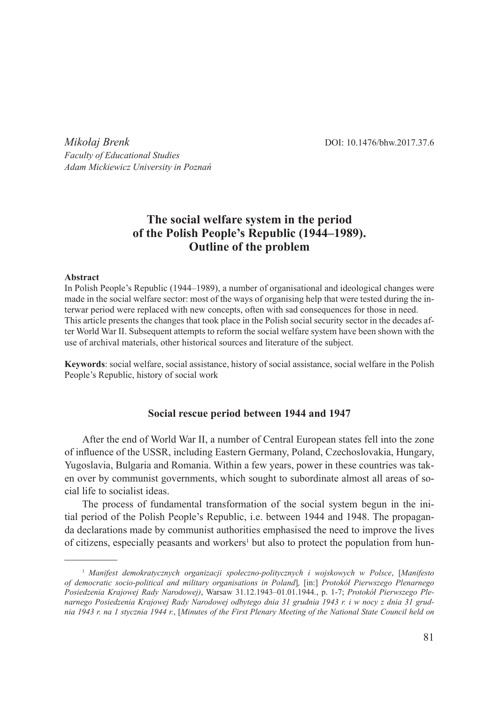*Mikołaj Brenk* DOI: 10.1476/bhw.2017.37.6 *Faculty of Educational Studies Adam Mickiewicz University in Poznań*

# **The social welfare system in the period of the Polish People's Republic (1944–1989). Outline of the problem**

#### **Abstract**

In Polish People's Republic (1944–1989), a number of organisational and ideological changes were made in the social welfare sector: most of the ways of organising help that were tested during the interwar period were replaced with new concepts, often with sad consequences for those in need. This article presents the changes that took place in the Polish social security sector in the decades after World War II. Subsequent attempts to reform the social welfare system have been shown with the use of archival materials, other historical sources and literature of the subject.

**Keywords**: social welfare, social assistance, history of social assistance, social welfare in the Polish People's Republic, history of social work

#### **Social rescue period between 1944 and 1947**

After the end of World War II, a number of Central European states fell into the zone of influence of the USSR, including Eastern Germany, Poland, Czechoslovakia, Hungary, Yugoslavia, Bulgaria and Romania. Within a few years, power in these countries was taken over by communist governments, which sought to subordinate almost all areas of social life to socialist ideas.

The process of fundamental transformation of the social system begun in the initial period of the Polish People's Republic, i.e. between 1944 and 1948. The propaganda declarations made by communist authorities emphasised the need to improve the lives of citizens, especially peasants and workers<sup>1</sup> but also to protect the population from hun-

<sup>1</sup> *Manifest demokratycznych organizacji społeczno-politycznych i wojskowych w Polsce*, [*Manifesto of democratic socio-political and military organisations in Poland*]*,* [in:] *Protokół Pierwszego Plenarnego Posiedzenia Krajowej Rady Narodowej)*, Warsaw 31.12.1943–01.01.1944*.*, p. 1-7; *Protokół Pierwszego Plenarnego Posiedzenia Krajowej Rady Narodowej odbytego dnia 31 grudnia 1943 r. i w nocy z dnia 31 grudnia 1943 r. na 1 stycznia 1944 r.*, [*Minutes of the First Plenary Meeting of the National State Council held on*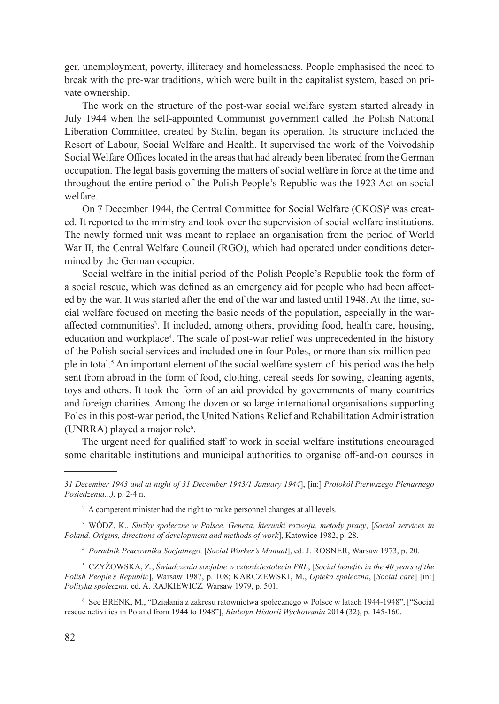ger, unemployment, poverty, illiteracy and homelessness. People emphasised the need to break with the pre-war traditions, which were built in the capitalist system, based on private ownership.

The work on the structure of the post-war social welfare system started already in July 1944 when the self-appointed Communist government called the Polish National Liberation Committee, created by Stalin, began its operation. Its structure included the Resort of Labour, Social Welfare and Health. It supervised the work of the Voivodship Social Welfare Offices located in the areas that had already been liberated from the German occupation. The legal basis governing the matters of social welfare in force at the time and throughout the entire period of the Polish People's Republic was the 1923 Act on social welfare.

On 7 December 1944, the Central Committee for Social Welfare (CKOS)<sup>2</sup> was created. It reported to the ministry and took over the supervision of social welfare institutions. The newly formed unit was meant to replace an organisation from the period of World War II, the Central Welfare Council (RGO), which had operated under conditions determined by the German occupier.

Social welfare in the initial period of the Polish People's Republic took the form of a social rescue, which was defined as an emergency aid for people who had been affected by the war. It was started after the end of the war and lasted until 1948. At the time, social welfare focused on meeting the basic needs of the population, especially in the waraffected communities<sup>3</sup>. It included, among others, providing food, health care, housing, education and workplace<sup>4</sup>. The scale of post-war relief was unprecedented in the history of the Polish social services and included one in four Poles, or more than six million people in total.5 An important element of the social welfare system of this period was the help sent from abroad in the form of food, clothing, cereal seeds for sowing, cleaning agents, toys and others. It took the form of an aid provided by governments of many countries and foreign charities. Among the dozen or so large international organisations supporting Poles in this post-war period, the United Nations Relief and Rehabilitation Administration (UNRRA) played a major role<sup>6</sup>.

The urgent need for qualified staff to work in social welfare institutions encouraged some charitable institutions and municipal authorities to organise off-and-on courses in

<sup>3</sup> WÓDZ, K., *Służby społeczne w Polsce. Geneza, kierunki rozwoju, metody pracy*, [*Social services in Poland. Origins, directions of development and methods of work*], Katowice 1982, p. 28.

<sup>4</sup> *Poradnik Pracownika Socjalnego,* [*Social Worker's Manual*], ed. J. Rosner, Warsaw 1973, p. 20.

<sup>5</sup> CZYŻOWSKA, Z., *Świadczenia socjalne w czterdziestoleciu PRL*, [*Social benefits in the 40 years of the Polish People's Republic*], Warsaw 1987, p. 108; Karczewski, M., *Opieka społeczna*, [*Social care*] [in:] *Polityka społeczna,* ed. A. RAJKIEWICZ*,* Warsaw 1979, p. 501.

<sup>6</sup> See BRENK, M., "Działania z zakresu ratownictwa społecznego w Polsce w latach 1944-1948", ["Social rescue activities in Poland from 1944 to 1948"], *Biuletyn Historii Wychowania* 2014 (32), p. 145-160.

*<sup>31</sup> December 1943 and at night of 31 December 1943/1 January 1944*], [in:] *Protokół Pierwszego Plenarnego Posiedzenia...),* p. 2-4 n.

<sup>&</sup>lt;sup>2</sup> A competent minister had the right to make personnel changes at all levels.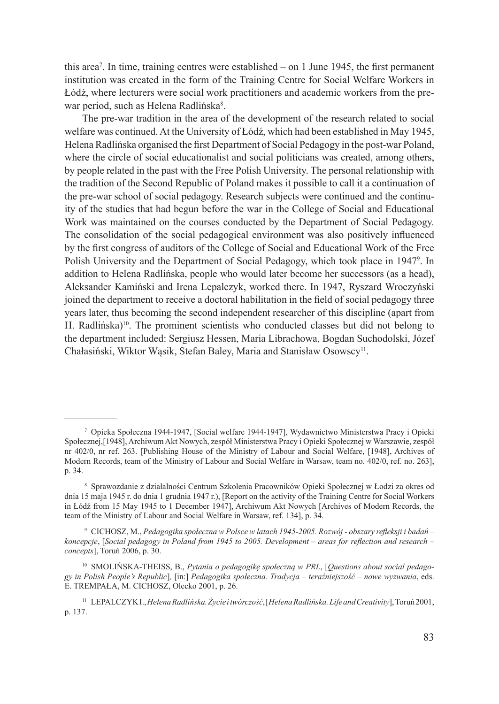this area<sup>7</sup>. In time, training centres were established – on 1 June 1945, the first permanent institution was created in the form of the Training Centre for Social Welfare Workers in Łódź, where lecturers were social work practitioners and academic workers from the prewar period, such as Helena Radlińska<sup>8</sup>.

The pre-war tradition in the area of the development of the research related to social welfare was continued. At the University of Łódź, which had been established in May 1945, Helena Radlińska organised the first Department of Social Pedagogy in the post-war Poland, where the circle of social educationalist and social politicians was created, among others, by people related in the past with the Free Polish University. The personal relationship with the tradition of the Second Republic of Poland makes it possible to call it a continuation of the pre-war school of social pedagogy. Research subjects were continued and the continuity of the studies that had begun before the war in the College of Social and Educational Work was maintained on the courses conducted by the Department of Social Pedagogy. The consolidation of the social pedagogical environment was also positively influenced by the first congress of auditors of the College of Social and Educational Work of the Free Polish University and the Department of Social Pedagogy, which took place in 1947<sup>9</sup>. In addition to Helena Radlińska, people who would later become her successors (as a head), Aleksander Kamiński and Irena Lepalczyk, worked there. In 1947, Ryszard Wroczyński joined the department to receive a doctoral habilitation in the field of social pedagogy three years later, thus becoming the second independent researcher of this discipline (apart from H. Radlińska)<sup>10</sup>. The prominent scientists who conducted classes but did not belong to the department included: Sergiusz Hessen, Maria Librachowa, Bogdan Suchodolski, Józef Chałasiński, Wiktor Wąsik, Stefan Baley, Maria and Stanisław Osowscy<sup>11</sup>.

<sup>7</sup> Opieka Społeczna 1944-1947, [Social welfare 1944-1947], Wydawnictwo Ministerstwa Pracy i Opieki Społecznej,[1948], Archiwum Akt Nowych, zespół Ministerstwa Pracy i Opieki Społecznej w Warszawie, zespół nr 402/0, nr ref. 263. [Publishing House of the Ministry of Labour and Social Welfare, [1948], Archives of Modern Records, team of the Ministry of Labour and Social Welfare in Warsaw, team no. 402/0, ref. no. 263], p. 34.

<sup>8</sup> Sprawozdanie z działalności Centrum Szkolenia Pracowników Opieki Społecznej w Łodzi za okres od dnia 15 maja 1945 r. do dnia 1 grudnia 1947 r.), [Report on the activity of the Training Centre for Social Workers in Łódź from 15 May 1945 to 1 December 1947], Archiwum Akt Nowych [Archives of Modern Records, the team of the Ministry of Labour and Social Welfare in Warsaw, ref. 134], p. 34.

<sup>9</sup> CICHOSZ, M., *Pedagogika społeczna w Polsce w latach 1945-2005. Rozwój - obszary refleksji i badań – koncepcje*, [*Social pedagogy in Poland from 1945 to 2005. Development – areas for reflection and research – concepts*], Toruń 2006, p. 30.

<sup>10</sup> SMOLIŃSKA-THEISS, B., *Pytania o pedagogikę społeczną w PRL*, [*Questions about social pedagogy in Polish People's Republic*]*,* [in:] *Pedagogika społeczna. Tradycja – teraźniejszość – nowe wyzwania*, eds. E. TREMPAŁA, M. CICHOSZ, Olecko 2001, p. 26.

<sup>11</sup> LEPALCZYK I., *Helena Radlińska.Życie i twórczość*, [*Helena Radlińska. Life and Creativity*],Toruń 2001, p. 137.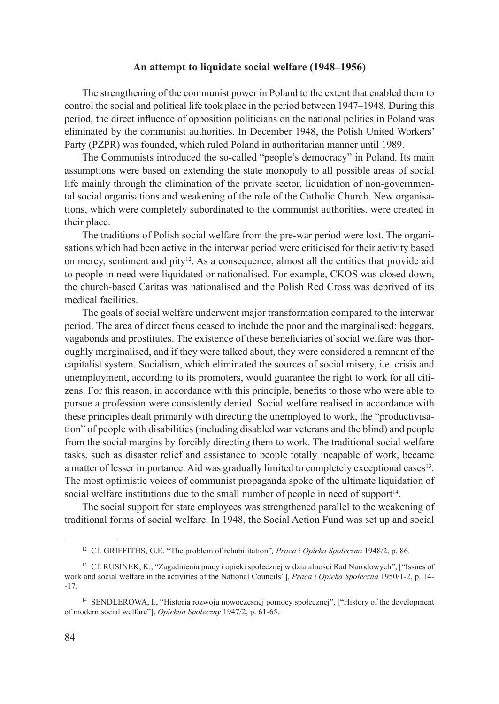## **An attempt to liquidate social welfare (1948–1956)**

The strengthening of the communist power in Poland to the extent that enabled them to control the social and political life took place in the period between 1947–1948. During this period, the direct influence of opposition politicians on the national politics in Poland was eliminated by the communist authorities. In December 1948, the Polish United Workers' Party (PZPR) was founded, which ruled Poland in authoritarian manner until 1989.

The Communists introduced the so-called "people's democracy" in Poland. Its main assumptions were based on extending the state monopoly to all possible areas of social life mainly through the elimination of the private sector, liquidation of non-governmental social organisations and weakening of the role of the Catholic Church. New organisations, which were completely subordinated to the communist authorities, were created in their place.

The traditions of Polish social welfare from the pre-war period were lost. The organisations which had been active in the interwar period were criticised for their activity based on mercy, sentiment and pity<sup>12</sup>. As a consequence, almost all the entities that provide aid to people in need were liquidated or nationalised. For example, CKOS was closed down, the church-based Caritas was nationalised and the Polish Red Cross was deprived of its medical facilities.

The goals of social welfare underwent major transformation compared to the interwar period. The area of direct focus ceased to include the poor and the marginalised: beggars, vagabonds and prostitutes. The existence of these beneficiaries of social welfare was thoroughly marginalised, and if they were talked about, they were considered a remnant of the capitalist system. Socialism, which eliminated the sources of social misery, i.e. crisis and unemployment, according to its promoters, would guarantee the right to work for all citizens. For this reason, in accordance with this principle, benefits to those who were able to pursue a profession were consistently denied. Social welfare realised in accordance with these principles dealt primarily with directing the unemployed to work, the "productivisation" of people with disabilities (including disabled war veterans and the blind) and people from the social margins by forcibly directing them to work. The traditional social welfare tasks, such as disaster relief and assistance to people totally incapable of work, became a matter of lesser importance. Aid was gradually limited to completely exceptional cases<sup>13</sup>. The most optimistic voices of communist propaganda spoke of the ultimate liquidation of social welfare institutions due to the small number of people in need of support<sup>14</sup>.

The social support for state employees was strengthened parallel to the weakening of traditional forms of social welfare. In 1948, the Social Action Fund was set up and social

<sup>12</sup> Cf. GRIFFITHS, G.E. "The problem of rehabilitation"*, Praca i Opieka Społeczna* 1948/2, p. 86.

<sup>13</sup> Cf. RUSINEK, K., "Zagadnienia pracy i opieki społecznej w działalności Rad Narodowych", ["Issues of work and social welfare in the activities of the National Councils"], *Praca i Opieka Społeczna* 1950/1-2, p. 14- -17.

<sup>&</sup>lt;sup>14</sup> SENDLEROWA, I., "Historia rozwoju nowoczesnej pomocy społecznej", ["History of the development of modern social welfare"], *Opiekun Społeczny* 1947/2, p. 61-65.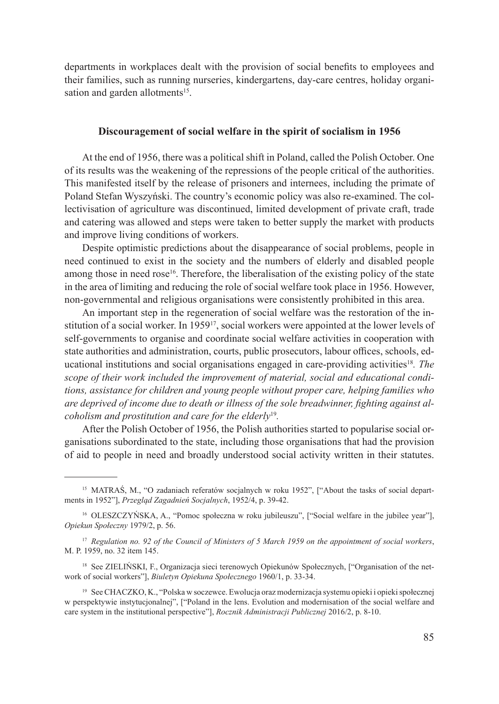departments in workplaces dealt with the provision of social benefits to employees and their families, such as running nurseries, kindergartens, day-care centres, holiday organisation and garden allotments<sup>15</sup>.

### **Discouragement of social welfare in the spirit of socialism in 1956**

At the end of 1956, there was a political shift in Poland, called the Polish October. One of its results was the weakening of the repressions of the people critical of the authorities. This manifested itself by the release of prisoners and internees, including the primate of Poland Stefan Wyszyński. The country's economic policy was also re-examined. The collectivisation of agriculture was discontinued, limited development of private craft, trade and catering was allowed and steps were taken to better supply the market with products and improve living conditions of workers.

Despite optimistic predictions about the disappearance of social problems, people in need continued to exist in the society and the numbers of elderly and disabled people among those in need rose<sup>16</sup>. Therefore, the liberalisation of the existing policy of the state in the area of limiting and reducing the role of social welfare took place in 1956. However, non-governmental and religious organisations were consistently prohibited in this area.

An important step in the regeneration of social welfare was the restoration of the institution of a social worker. In 1959<sup>17</sup>, social workers were appointed at the lower levels of self-governments to organise and coordinate social welfare activities in cooperation with state authorities and administration, courts, public prosecutors, labour offices, schools, educational institutions and social organisations engaged in care-providing activities18*. The scope of their work included the improvement of material, social and educational conditions, assistance for children and young people without proper care, helping families who are deprived of income due to death or illness of the sole breadwinner, fighting against alcoholism and prostitution and care for the elderly*<sup>19</sup>*.*

After the Polish October of 1956, the Polish authorities started to popularise social organisations subordinated to the state, including those organisations that had the provision of aid to people in need and broadly understood social activity written in their statutes.

<sup>15</sup> MATRAŚ, M., "O zadaniach referatów socjalnych w roku 1952", ["About the tasks of social departments in 1952"], *Przegląd Zagadnień Socjalnych*, 1952/4, p. 39-42.

<sup>&</sup>lt;sup>16</sup> OLESZCZYŃSKA, A., "Pomoc społeczna w roku jubileuszu", ["Social welfare in the jubilee year"], *Opiekun Społeczny* 1979/2, p. 56.

<sup>17</sup> *Regulation no. 92 of the Council of Ministers of 5 March 1959 on the appointment of social workers*, M. P. 1959, no. 32 item 145.

<sup>&</sup>lt;sup>18</sup> See ZIELIŃSKI, F., Organizacja sieci terenowych Opiekunów Społecznych, ["Organisation of the network of social workers"], *Biuletyn Opiekuna Społecznego* 1960/1, p. 33-34.

<sup>19</sup> See CHACZKO, K., "Polska w soczewce. Ewolucja oraz modernizacja systemu opieki i opieki społecznej w perspektywie instytucjonalnej", ["Poland in the lens. Evolution and modernisation of the social welfare and care system in the institutional perspective"], *Rocznik Administracji Publicznej* 2016/2, p. 8-10.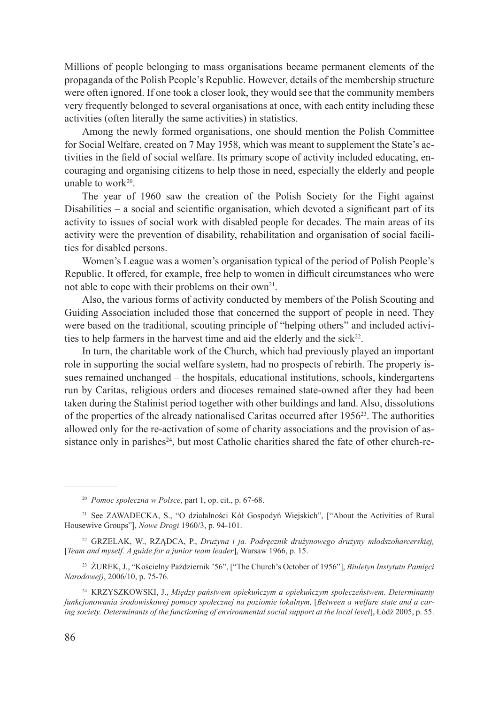Millions of people belonging to mass organisations became permanent elements of the propaganda of the Polish People's Republic. However, details of the membership structure were often ignored. If one took a closer look, they would see that the community members very frequently belonged to several organisations at once, with each entity including these activities (often literally the same activities) in statistics.

Among the newly formed organisations, one should mention the Polish Committee for Social Welfare, created on 7 May 1958, which was meant to supplement the State's activities in the field of social welfare. Its primary scope of activity included educating, encouraging and organising citizens to help those in need, especially the elderly and people unable to work $20$ .

The year of 1960 saw the creation of the Polish Society for the Fight against Disabilities – a social and scientific organisation, which devoted a significant part of its activity to issues of social work with disabled people for decades. The main areas of its activity were the prevention of disability, rehabilitation and organisation of social facilities for disabled persons.

Women's League was a women's organisation typical of the period of Polish People's Republic. It offered, for example, free help to women in difficult circumstances who were not able to cope with their problems on their own<sup>21</sup>.

Also, the various forms of activity conducted by members of the Polish Scouting and Guiding Association included those that concerned the support of people in need. They were based on the traditional, scouting principle of "helping others" and included activities to help farmers in the harvest time and aid the elderly and the sick<sup>22</sup>.

In turn, the charitable work of the Church, which had previously played an important role in supporting the social welfare system, had no prospects of rebirth. The property issues remained unchanged – the hospitals, educational institutions, schools, kindergartens run by Caritas, religious orders and dioceses remained state-owned after they had been taken during the Stalinist period together with other buildings and land. Also, dissolutions of the properties of the already nationalised Caritas occurred after  $1956^{23}$ . The authorities allowed only for the re-activation of some of charity associations and the provision of assistance only in parishes<sup>24</sup>, but most Catholic charities shared the fate of other church-re-

<sup>20</sup> *Pomoc społeczna w Polsce*, part 1, op. cit., p. 67-68.

<sup>21</sup> See ZAWADECKA, S., "O działalności Kół Gospodyń Wiejskich", ["About the Activities of Rural Housewive Groups"], *Nowe Drogi* 1960/3, p. 94-101.

<sup>22</sup> GRZELAK, W., RZĄDCA, P., *Drużyna i ja. Podręcznik drużynowego drużyny młodszoharcerskiej,* [*Team and myself. A guide for a junior team leader*], Warsaw 1966, p. 15.

<sup>23</sup> ŻUREK, J., "Kościelny Październik '56", ["The Church's October of 1956"], *Biuletyn Instytutu Pamięci Narodowej)*, 2006/10, p. 75-76.

<sup>24</sup> KRZYSZKOWSKI, J., *Między państwem opiekuńczym a opiekuńczym społeczeństwem. Determinanty funkcjonowania środowiskowej pomocy społecznej na poziomie lokalnym,* [*Between a welfare state and a caring society. Determinants of the functioning of environmental social support at the local level*], Łódź 2005, p. 55.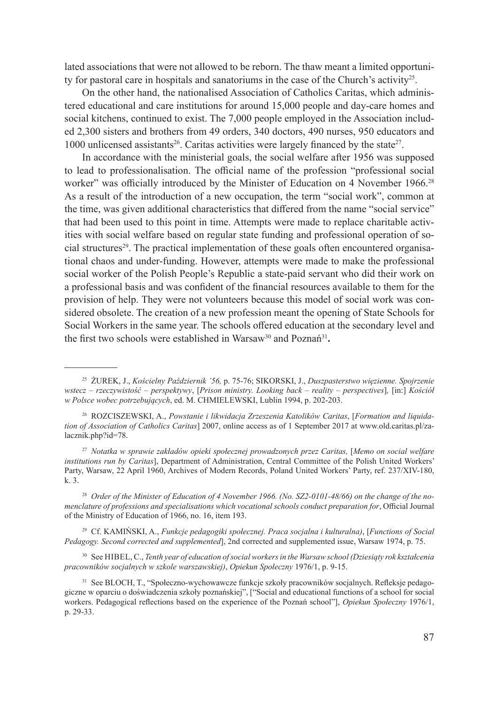lated associations that were not allowed to be reborn. The thaw meant a limited opportunity for pastoral care in hospitals and sanatoriums in the case of the Church's activity<sup>25</sup>.

On the other hand, the nationalised Association of Catholics Caritas, which administered educational and care institutions for around 15,000 people and day-care homes and social kitchens, continued to exist. The 7,000 people employed in the Association included 2,300 sisters and brothers from 49 orders, 340 doctors, 490 nurses, 950 educators and 1000 unlicensed assistants<sup>26</sup>. Caritas activities were largely financed by the state<sup>27</sup>.

In accordance with the ministerial goals, the social welfare after 1956 was supposed to lead to professionalisation. The official name of the profession "professional social worker" was officially introduced by the Minister of Education on 4 November 1966.<sup>28</sup> As a result of the introduction of a new occupation, the term "social work", common at the time, was given additional characteristics that differed from the name "social service" that had been used to this point in time. Attempts were made to replace charitable activities with social welfare based on regular state funding and professional operation of social structures<sup>29</sup>. The practical implementation of these goals often encountered organisational chaos and under-funding. However, attempts were made to make the professional social worker of the Polish People's Republic a state-paid servant who did their work on a professional basis and was confident of the financial resources available to them for the provision of help. They were not volunteers because this model of social work was considered obsolete. The creation of a new profession meant the opening of State Schools for Social Workers in the same year. The schools offered education at the secondary level and the first two schools were established in Warsaw<sup>30</sup> and Poznań<sup>31</sup>**.**

<sup>27</sup> *Notatka w sprawie zakładów opieki społecznej prowadzonych przez Caritas,* [*Memo on social welfare institutions run by Caritas*], Department of Administration, Central Committee of the Polish United Workers' Party, Warsaw, 22 April 1960, Archives of Modern Records, Poland United Workers' Party, ref. 237/XIV-180, k. 3.

<sup>28</sup> *Order of the Minister of Education of 4 November 1966. (No. SZ2-0101-48/66) on the change of the nomenclature of professions and specialisations which vocational schools conduct preparation for*, Official Journal of the Ministry of Education of 1966, no. 16, item 193.

<sup>29</sup> Cf. KAMIŃSKI, A., *Funkcje pedagogiki społecznej. Praca socjalna i kulturalna)*, [*Functions of Social Pedagogy. Second corrected and supplemented*], 2nd corrected and supplemented issue, Warsaw 1974, p. 75.

<sup>30</sup> See Hibel, C., *Tenth year of education of social workers in the Warsaw school (Dziesiąty rok kształcenia pracowników socjalnych w szkole warszawskiej)*, *Opiekun Społeczny* 1976/1, p. 9-15.

<sup>25</sup> ŻUREK, J., *Kościelny Październik '56,* p. 75-76; SIKORSKI, J., *Duszpasterstwo więzienne. Spojrzenie wstecz – rzeczywistość – perspektywy*, [*Prison ministry. Looking back – reality – perspectives*]*,* [in:] *Kościół w Polsce wobec potrzebujących*, ed. M. CHMIELEWSKI, Lublin 1994, p. 202-203.

<sup>26</sup> ROZCISZEWSKI, A., *Powstanie i likwidacja Zrzeszenia Katolików Caritas*, [*Formation and liquidation of Association of Catholics Caritas*] 2007, online access as of 1 September 2017 at www.old.caritas.pl/zalacznik.php?id=78.

<sup>31</sup> See BLOCH, T., "Społeczno-wychowawcze funkcje szkoły pracowników socjalnych. Refleksje pedagogiczne w oparciu o doświadczenia szkoły poznańskiej", ["Social and educational functions of a school for social workers. Pedagogical reflections based on the experience of the Poznań school"], *Opiekun Społeczny* 1976/1, p. 29-33.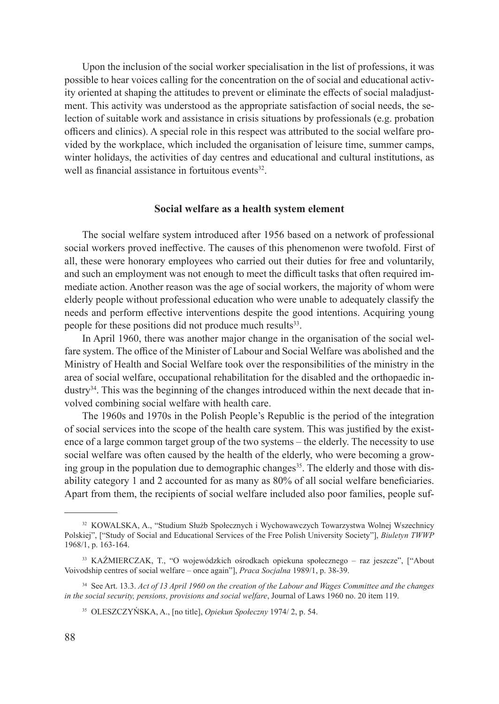Upon the inclusion of the social worker specialisation in the list of professions, it was possible to hear voices calling for the concentration on the of social and educational activity oriented at shaping the attitudes to prevent or eliminate the effects of social maladjustment. This activity was understood as the appropriate satisfaction of social needs, the selection of suitable work and assistance in crisis situations by professionals (e.g. probation officers and clinics). A special role in this respect was attributed to the social welfare provided by the workplace, which included the organisation of leisure time, summer camps, winter holidays, the activities of day centres and educational and cultural institutions, as well as financial assistance in fortuitous events $32$ .

#### **Social welfare as a health system element**

The social welfare system introduced after 1956 based on a network of professional social workers proved ineffective. The causes of this phenomenon were twofold. First of all, these were honorary employees who carried out their duties for free and voluntarily, and such an employment was not enough to meet the difficult tasks that often required immediate action. Another reason was the age of social workers, the majority of whom were elderly people without professional education who were unable to adequately classify the needs and perform effective interventions despite the good intentions. Acquiring young people for these positions did not produce much results<sup>33</sup>.

In April 1960, there was another major change in the organisation of the social welfare system. The office of the Minister of Labour and Social Welfare was abolished and the Ministry of Health and Social Welfare took over the responsibilities of the ministry in the area of social welfare, occupational rehabilitation for the disabled and the orthopaedic industry34. This was the beginning of the changes introduced within the next decade that involved combining social welfare with health care.

The 1960s and 1970s in the Polish People's Republic is the period of the integration of social services into the scope of the health care system. This was justified by the existence of a large common target group of the two systems – the elderly. The necessity to use social welfare was often caused by the health of the elderly, who were becoming a growing group in the population due to demographic changes<sup>35</sup>. The elderly and those with disability category 1 and 2 accounted for as many as 80% of all social welfare beneficiaries. Apart from them, the recipients of social welfare included also poor families, people suf-

<sup>32</sup> KOWALSKA, A., "Studium Służb Społecznych i Wychowawczych Towarzystwa Wolnej Wszechnicy Polskiej", ["Study of Social and Educational Services of the Free Polish University Society"], *Biuletyn TWWP* 1968/1, p. 163-164.

<sup>33</sup> KAŹMIERCZAK, T., "O wojewódzkich ośrodkach opiekuna społecznego – raz jeszcze", ["About Voivodship centres of social welfare – once again"], *Praca Socjalna* 1989/1, p. 38-39.

<sup>34</sup> See Art. 13.3. *Act of 13 April 1960 on the creation of the Labour and Wages Committee and the changes in the social security, pensions, provisions and social welfare*, Journal of Laws 1960 no. 20 item 119.

<sup>35</sup> OLESZCZYŃSKA, A., [no title], *Opiekun Społeczny* 1974/ 2, p. 54.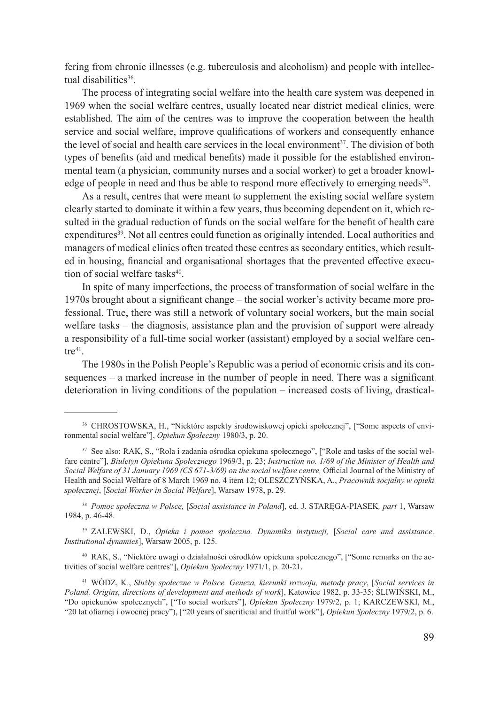fering from chronic illnesses (e.g. tuberculosis and alcoholism) and people with intellectual disabilities<sup>36</sup>.

The process of integrating social welfare into the health care system was deepened in 1969 when the social welfare centres, usually located near district medical clinics, were established. The aim of the centres was to improve the cooperation between the health service and social welfare, improve qualifications of workers and consequently enhance the level of social and health care services in the local environment $37$ . The division of both types of benefits (aid and medical benefits) made it possible for the established environmental team (a physician, community nurses and a social worker) to get a broader knowledge of people in need and thus be able to respond more effectively to emerging needs<sup>38</sup>.

As a result, centres that were meant to supplement the existing social welfare system clearly started to dominate it within a few years, thus becoming dependent on it, which resulted in the gradual reduction of funds on the social welfare for the benefit of health care expenditures<sup>39</sup>. Not all centres could function as originally intended. Local authorities and managers of medical clinics often treated these centres as secondary entities, which resulted in housing, financial and organisational shortages that the prevented effective execution of social welfare tasks<sup>40</sup>.

In spite of many imperfections, the process of transformation of social welfare in the 1970s brought about a significant change – the social worker's activity became more professional. True, there was still a network of voluntary social workers, but the main social welfare tasks – the diagnosis, assistance plan and the provision of support were already a responsibility of a full-time social worker (assistant) employed by a social welfare cen $tre<sup>41</sup>$ .

The 1980s in the Polish People's Republic was a period of economic crisis and its consequences – a marked increase in the number of people in need. There was a significant deterioration in living conditions of the population – increased costs of living, drastical-

<sup>38</sup> *Pomoc społeczna w Polsce,* [*Social assistance in Poland*], ed. J. STARĘGA-PIASEK*, part* 1, Warsaw 1984, p. 46-48.

<sup>39</sup> ZALEWSKI, D., *Opieka i pomoc społeczna. Dynamika instytucji,* [*Social care and assistance*. *Institutional dynamics*], Warsaw 2005, p. 125.

<sup>40</sup> RAK, S., "Niektóre uwagi o działalności ośrodków opiekuna społecznego", ["Some remarks on the activities of social welfare centres"], *Opiekun Społeczny* 1971/1, p. 20-21.

<sup>36</sup> CHROSTOWSKA, H., "Niektóre aspekty środowiskowej opieki społecznej", ["Some aspects of environmental social welfare"], *Opiekun Społeczny* 1980/3, p. 20.

<sup>37</sup> See also: RAK, S., "Rola i zadania ośrodka opiekuna społecznego", ["Role and tasks of the social welfare centre"], *Biuletyn Opiekuna Społecznego* 1969/3, p. 23; *Instruction no. 1/69 of the Minister of Health and Social Welfare of 31 January 1969 (CS 671-3/69) on the social welfare centre,* Official Journal of the Ministry of Health and Social Welfare of 8 March 1969 no. 4 item 12; OLESZCZYŃSKA, A., *Pracownik socjalny w opieki społecznej*, [*Social Worker in Social Welfare*], Warsaw 1978, p. 29.

<sup>41</sup> WÓDZ, K., *Służby społeczne w Polsce. Geneza, kierunki rozwoju, metody pracy*, [*Social services in Poland. Origins, directions of development and methods of work*], Katowice 1982, p. 33-35; ŚLIWIŃSKI, M., "Do opiekunów społecznych", ["To social workers"], *Opiekun Społeczny* 1979/2, p. 1; KARCZEWSKI, M., "20 lat ofiarnej i owocnej pracy"), ["20 years of sacrificial and fruitful work"], *Opiekun Społeczny* 1979/2, p. 6.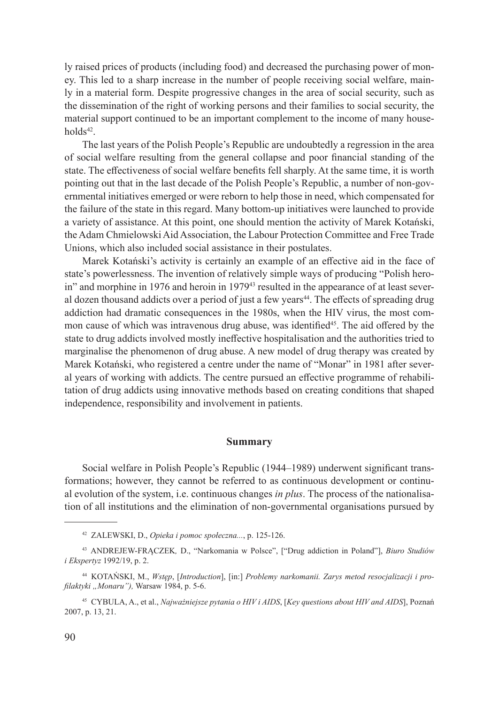ly raised prices of products (including food) and decreased the purchasing power of money. This led to a sharp increase in the number of people receiving social welfare, mainly in a material form. Despite progressive changes in the area of social security, such as the dissemination of the right of working persons and their families to social security, the material support continued to be an important complement to the income of many house $holds^{42}$ .

The last years of the Polish People's Republic are undoubtedly a regression in the area of social welfare resulting from the general collapse and poor financial standing of the state. The effectiveness of social welfare benefits fell sharply. At the same time, it is worth pointing out that in the last decade of the Polish People's Republic, a number of non-governmental initiatives emerged or were reborn to help those in need, which compensated for the failure of the state in this regard. Many bottom-up initiatives were launched to provide a variety of assistance. At this point, one should mention the activity of Marek Kotański, the Adam Chmielowski Aid Association, the Labour Protection Committee and Free Trade Unions, which also included social assistance in their postulates.

Marek Kotański's activity is certainly an example of an effective aid in the face of state's powerlessness. The invention of relatively simple ways of producing "Polish heroin" and morphine in 1976 and heroin in 1979<sup>43</sup> resulted in the appearance of at least several dozen thousand addicts over a period of just a few years<sup>44</sup>. The effects of spreading drug addiction had dramatic consequences in the 1980s, when the HIV virus, the most common cause of which was intravenous drug abuse, was identified<sup>45</sup>. The aid offered by the state to drug addicts involved mostly ineffective hospitalisation and the authorities tried to marginalise the phenomenon of drug abuse. A new model of drug therapy was created by Marek Kotański, who registered a centre under the name of "Monar" in 1981 after several years of working with addicts. The centre pursued an effective programme of rehabilitation of drug addicts using innovative methods based on creating conditions that shaped independence, responsibility and involvement in patients.

### **Summary**

Social welfare in Polish People's Republic (1944–1989) underwent significant transformations; however, they cannot be referred to as continuous development or continual evolution of the system, i.e. continuous changes *in plus*. The process of the nationalisation of all institutions and the elimination of non-governmental organisations pursued by

<sup>42</sup> ZALEWSKI, D., *Opieka i pomoc społeczna...*, p. 125-126.

<sup>43</sup> ANDREJEW-FRĄCZEK*,* D., "Narkomania w Polsce", ["Drug addiction in Poland"], *Biuro Studiów i Ekspertyz* 1992/19, p. 2.

<sup>44</sup> KOTAŃSKI, M., *Wstęp*, [*Introduction*], [in:] *Problemy narkomanii. Zarys metod resocjalizacji i profilaktyki "Monaru"),* Warsaw 1984, p. 5-6.

<sup>45</sup> CYBULA, A., et al., *Najważniejsze pytania o HIV i AIDS*, [*Key questions about HIV and AIDS*], Poznań 2007, p. 13, 21.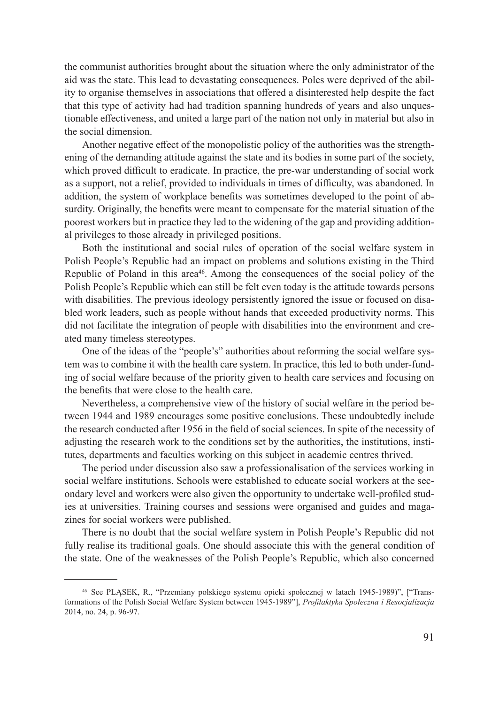the communist authorities brought about the situation where the only administrator of the aid was the state. This lead to devastating consequences. Poles were deprived of the ability to organise themselves in associations that offered a disinterested help despite the fact that this type of activity had had tradition spanning hundreds of years and also unquestionable effectiveness, and united a large part of the nation not only in material but also in the social dimension.

Another negative effect of the monopolistic policy of the authorities was the strengthening of the demanding attitude against the state and its bodies in some part of the society, which proved difficult to eradicate. In practice, the pre-war understanding of social work as a support, not a relief, provided to individuals in times of difficulty, was abandoned. In addition, the system of workplace benefits was sometimes developed to the point of absurdity. Originally, the benefits were meant to compensate for the material situation of the poorest workers but in practice they led to the widening of the gap and providing additional privileges to those already in privileged positions.

Both the institutional and social rules of operation of the social welfare system in Polish People's Republic had an impact on problems and solutions existing in the Third Republic of Poland in this area<sup>46</sup>. Among the consequences of the social policy of the Polish People's Republic which can still be felt even today is the attitude towards persons with disabilities. The previous ideology persistently ignored the issue or focused on disabled work leaders, such as people without hands that exceeded productivity norms. This did not facilitate the integration of people with disabilities into the environment and created many timeless stereotypes.

One of the ideas of the "people's" authorities about reforming the social welfare system was to combine it with the health care system. In practice, this led to both under-funding of social welfare because of the priority given to health care services and focusing on the benefits that were close to the health care.

Nevertheless, a comprehensive view of the history of social welfare in the period between 1944 and 1989 encourages some positive conclusions. These undoubtedly include the research conducted after 1956 in the field of social sciences. In spite of the necessity of adjusting the research work to the conditions set by the authorities, the institutions, institutes, departments and faculties working on this subject in academic centres thrived.

The period under discussion also saw a professionalisation of the services working in social welfare institutions. Schools were established to educate social workers at the secondary level and workers were also given the opportunity to undertake well-profiled studies at universities. Training courses and sessions were organised and guides and magazines for social workers were published.

There is no doubt that the social welfare system in Polish People's Republic did not fully realise its traditional goals. One should associate this with the general condition of the state. One of the weaknesses of the Polish People's Republic, which also concerned

<sup>46</sup> See PLĄSEK, R., "Przemiany polskiego systemu opieki społecznej w latach 1945-1989)", ["Transformations of the Polish Social Welfare System between 1945-1989"], *Profilaktyka Społeczna i Resocjalizacja* 2014, no. 24, p. 96-97.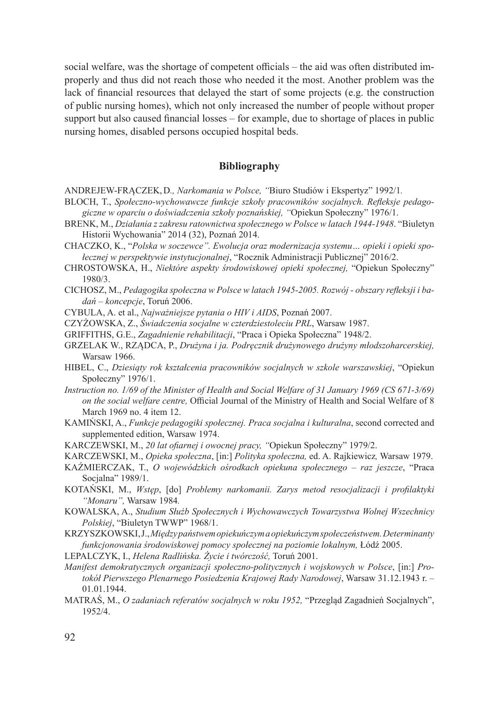social welfare, was the shortage of competent officials – the aid was often distributed improperly and thus did not reach those who needed it the most. Another problem was the lack of financial resources that delayed the start of some projects (e.g. the construction of public nursing homes), which not only increased the number of people without proper support but also caused financial losses – for example, due to shortage of places in public nursing homes, disabled persons occupied hospital beds.

## **Bibliography**

- ANDREJEW-FRĄCZEK, D*., Narkomania w Polsce, "*Biuro Studiów i Ekspertyz" 1992/1*.*
- BLOCH, T., *Społeczno-wychowawcze funkcje szkoły pracowników socjalnych. Refleksje pedagogiczne w oparciu o doświadczenia szkoły poznańskiej, "*Opiekun Społeczny" 1976/1.
- BRENK, M., *Działania z zakresu ratownictwa społecznego w Polsce w latach 1944-1948*. "Biuletyn Historii Wychowania" 2014 (32), Poznań 2014.
- CHACZKO, K., "*Polska w soczewce". Ewolucja oraz modernizacja systemu… opieki i opieki społecznej w perspektywie instytucjonalnej*, "Rocznik Administracji Publicznej" 2016/2.
- CHROSTOWSKA, H., *Niektóre aspekty środowiskowej opieki społecznej,* "Opiekun Społeczny" 1980/3.
- CICHOSZ, M., *Pedagogika społeczna w Polsce w latach 1945-2005. Rozwój obszary refleksji i badań – koncepcje*, Toruń 2006.
- CYBULA, A. et al., *Najważniejsze pytania o HIV i AIDS*, Poznań 2007.
- CZYŻOWSKA, Z., *Świadczenia socjalne w czterdziestoleciu PRL*, Warsaw 1987.
- GRIFFITHS, G.E., *Zagadnienie rehabilitacji*, "Praca i Opieka Społeczna" 1948/2.
- GRZELAK W., RZĄDCA, P., *Drużyna i ja. Podręcznik drużynowego drużyny młodszoharcerskiej,* Warsaw 1966.
- HIBEL, C., *Dziesiąty rok kształcenia pracowników socjalnych w szkole warszawskiej*, "Opiekun Społeczny" 1976/1.
- *Instruction no. 1/69 of the Minister of Health and Social Welfare of 31 January 1969 (CS 671-3/69) on the social welfare centre,* Official Journal of the Ministry of Health and Social Welfare of 8 March 1969 no. 4 item 12.
- KAMIŃSKI, A., *Funkcje pedagogiki społecznej. Praca socjalna i kulturalna*, second corrected and supplemented edition, Warsaw 1974.
- KARCZEWSKI, M., *20 lat ofiarnej i owocnej pracy, "*Opiekun Społeczny" 1979/2.
- KARCZEWSKI, M., *Opieka społeczna*, [in:] *Polityka społeczna,* ed. A. Rajkiewicz*,* Warsaw 1979.
- KAŹMIERCZAK, T., *O wojewódzkich ośrodkach opiekuna społecznego raz jeszcze*, "Praca Socjalna" 1989/1.
- KOTAŃSKI, M., *Wstęp*, [do] *Problemy narkomanii. Zarys metod resocjalizacji i profilaktyki "Monaru",* Warsaw 1984*.*
- KOWALSKA, A., *Studium Służb Społecznych i Wychowawczych Towarzystwa Wolnej Wszechnicy Polskiej*, "Biuletyn TWWP" 1968/1.
- KRZYSZKOWSKI, J., *Między państwem opiekuńczym aopiekuńczym społeczeństwem. Determinanty funkcjonowania środowiskowej pomocy społecznej na poziomie lokalnym,* Łódź 2005.
- LEPALCZYK, I., *Helena Radlińska. Życie i twórczość,* Toruń 2001.
- *Manifest demokratycznych organizacji społeczno-politycznych i wojskowych w Polsce*, [in:] *Protokół Pierwszego Plenarnego Posiedzenia Krajowej Rady Narodowej*, Warsaw 31.12.1943 r. – 01.01.1944.
- MATRAŚ, M., *O zadaniach referatów socjalnych w roku 1952,* "Przegląd Zagadnień Socjalnych", 1952/4.